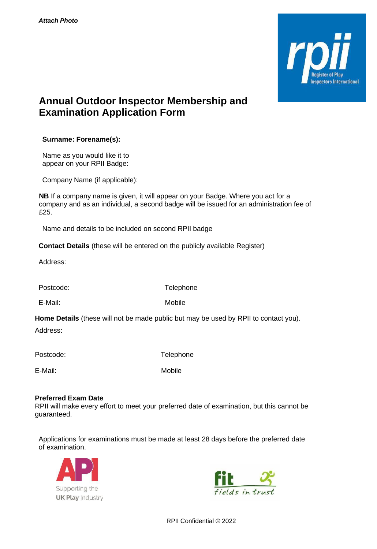

## **Annual Outdoor Inspector Membership and Examination Application Form**

**Surname: Forename(s):**

Name as you would like it to appear on your RPII Badge:

Company Name (if applicable):

**NB** If a company name is given, it will appear on your Badge. Where you act for a company and as an individual, a second badge will be issued for an administration fee of £25.

Name and details to be included on second RPII badge

**Contact Details** (these will be entered on the publicly available Register)

Address:

Postcode: Telephone

E-Mail: Mobile

**Home Details** (these will not be made public but may be used by RPII to contact you).

Address:

Postcode: Telephone

E-Mail: Mobile

## **Preferred Exam Date**

RPII will make every effort to meet your preferred date of examination, but this cannot be guaranteed.

Applications for examinations must be made at least 28 days before the preferred date of examination.





RPII Confidential © 2022